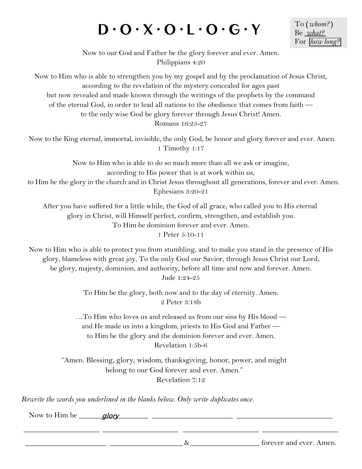### $D \cdot O \cdot X \cdot O \cdot L \cdot O \cdot G \cdot Y$

To **(***whom?***)** Be *what?* For *how long?*

Now to our God and Father be the glory forever and ever. Amen. Philippians 4:20

Now to Him who is able to strengthen you by my gospel and by the proclamation of Jesus Christ, according to the revelation of the mystery concealed for ages past but now revealed and made known through the writings of the prophets by the command of the eternal God, in order to lead all nations to the obedience that comes from faith to the only wise God be glory forever through Jesus Christ! Amen. Romans 16:25-27

Now to the King eternal, immortal, invisible, the only God, be honor and glory forever and ever. Amen. 1 Timothy 1:17

Now to Him who is able to do so much more than all we ask or imagine, according to His power that is at work within us, to Him be the glory in the church and in Christ Jesus throughout all generations, forever and ever. Amen. Ephesians 3:20-21

After you have suffered for a little while, the God of all grace, who called you to His eternal glory in Christ, will Himself perfect, confirm, strengthen, and establish you. To Him be dominion forever and ever. Amen.

1 Peter 5:10-11

Now to Him who is able to protect you from stumbling, and to make you stand in the presence of His glory, blameless with great joy, To the only God our Savior, through Jesus Christ our Lord, be glory, majesty, dominion, and authority, before all time and now and forever. Amen. Jude 1:24-25

> To Him be the glory, both now and to the day of eternity. Amen. 2 Peter 3:18b

…To Him who loves us and released us from our sins by His blood and He made us into a kingdom, priests to His God and Father to Him be the glory and the dominion forever and ever. Amen. Revelation 1:5b-6

"Amen. Blessing, glory, wisdom, thanksgiving, honor, power, and might belong to our God forever and ever. Amen." Revelation 7:12

*Rewrite the words you underlined in the blanks below. Only write duplicates once.*

Now to Him be \_\_\_\_\_\_\_\_\_\_\_\_\_\_\_\_\_\_ \_\_\_\_\_\_\_\_\_\_\_\_\_\_\_\_\_\_\_\_\_ \_\_\_\_\_\_\_\_\_\_\_\_\_\_\_\_\_\_\_\_\_\_\_\_\_ glory

 $\&$   $\&$   $\&$ 

\_\_\_\_\_\_\_\_\_\_\_\_\_\_\_\_\_\_\_\_ \_\_\_\_\_\_\_\_\_\_\_\_\_\_\_\_\_\_\_\_ \_\_\_\_\_\_\_\_\_\_\_\_\_\_\_\_\_\_\_\_ \_\_\_\_\_\_\_\_\_\_\_\_\_\_\_\_\_\_\_\_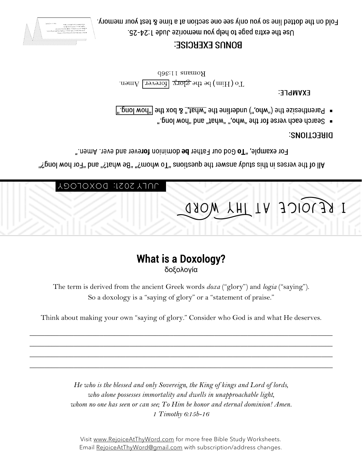*1 Timothy 6:15b-16*

Visit www.RejoiceAtThyWord.com for more free Bible Study Worksheets. Email RejoiceAtThyWord@gmail.com with subscription/address changes.

*He who is the blessed and only Sovereign, the King of kings and Lord of lords, who alone possesses immortality and dwells in unapproachable light, whom no one has seen or can see; To Him be honor and eternal dominion! Amen.*

Think about making your own "saying of glory." Consider who God is and what He deserves.

\_\_\_\_\_\_\_\_\_\_\_\_\_\_\_\_\_\_\_\_\_\_\_\_\_\_\_\_\_\_\_\_\_\_\_\_\_\_\_\_\_\_\_\_\_\_\_\_\_\_\_\_\_\_\_\_\_\_\_\_\_\_\_\_\_\_\_\_\_\_\_\_\_\_\_\_\_\_\_\_\_\_ \_\_\_\_\_\_\_\_\_\_\_\_\_\_\_\_\_\_\_\_\_\_\_\_\_\_\_\_\_\_\_\_\_\_\_\_\_\_\_\_\_\_\_\_\_\_\_\_\_\_\_\_\_\_\_\_\_\_\_\_\_\_\_\_\_\_\_\_\_\_\_\_\_\_\_\_\_\_\_\_\_\_ \_\_\_\_\_\_\_\_\_\_\_\_\_\_\_\_\_\_\_\_\_\_\_\_\_\_\_\_\_\_\_\_\_\_\_\_\_\_\_\_\_\_\_\_\_\_\_\_\_\_\_\_\_\_\_\_\_\_\_\_\_\_\_\_\_\_\_\_\_\_\_\_\_\_\_\_\_\_\_\_\_\_ \_\_\_\_\_\_\_\_\_\_\_\_\_\_\_\_\_\_\_\_\_\_\_\_\_\_\_\_\_\_\_\_\_\_\_\_\_\_\_\_\_\_\_\_\_\_\_\_\_\_\_\_\_\_\_\_\_\_\_\_\_\_\_\_\_\_\_\_\_\_\_\_\_\_\_\_\_\_\_\_\_\_

The term is derived from the ancient Greek words *doxa* ("glory") and *logia* ("saying"). So a doxology is a "saying of glory" or a "statement of praise."

δοξολογία

## What is a Doxology?

# I REJOICE AT IHY WORD

JULY 2021: DOXOL

"Pll of the verses in this study answer the questions "To whom?" "Be what?" and "For how long?"

" parenthesize the ("vho,") underline the "what," & box the ["how long"] ". pnol won" bns "Jahw" ",onw" 9df 10f 9219v dose donesule

Romans 11:36b  $\pm$  10 (Him) be the glory  $\pm$  torever.

EXAMPLE:

#### **DIRECTIONS:**

For example, "To God our Father be dominion forever and ever. Amen."

**BONNS EXEBCISE:** 



ADO)

Fold on the dotted line so you only see one section at a time & test your memory. Use the extra page to help you memorize Jude 1:24-25.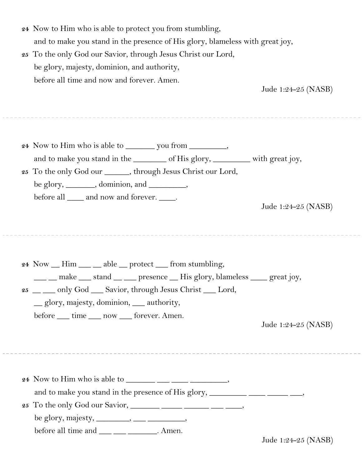| 24 Now to Him who is able to protect you from stumbling,                      |
|-------------------------------------------------------------------------------|
| and to make you stand in the presence of His glory, blameless with great joy, |

**25** To the only God our Savior, through Jesus Christ our Lord, be glory, majesty, dominion, and authority, before all time and now and forever. Amen.

Jude 1:24-25 (NASB)

| and to make you stand in the ________ of His glory, _______ with great joy,<br>25 To the only God our ______, through Jesus Christ our Lord,<br>be glory, ________, dominion, and __________,<br>before all <u>equilibration</u> and now and forever.                                                            | Jude 1:24-25 (NASB) |
|------------------------------------------------------------------------------------------------------------------------------------------------------------------------------------------------------------------------------------------------------------------------------------------------------------------|---------------------|
| $24$ Now $\_\$ Him $\_\_\$ able $\_\$ protect $\_\$ from stumbling,<br>___ _ make ___ stand __ __ presence __ His glory, blameless ____ great joy,<br>25 __ only God __ Savior, through Jesus Christ __ Lord,<br>glory, majesty, dominion, <u>equal</u> authority,<br>before ___ time ___ now ___ forever. Amen. | Jude 1:24-25 (NASB) |
| before all time and ___ __ ___ ____. Amen.                                                                                                                                                                                                                                                                       | Jude 1:24-25 (NASB) |